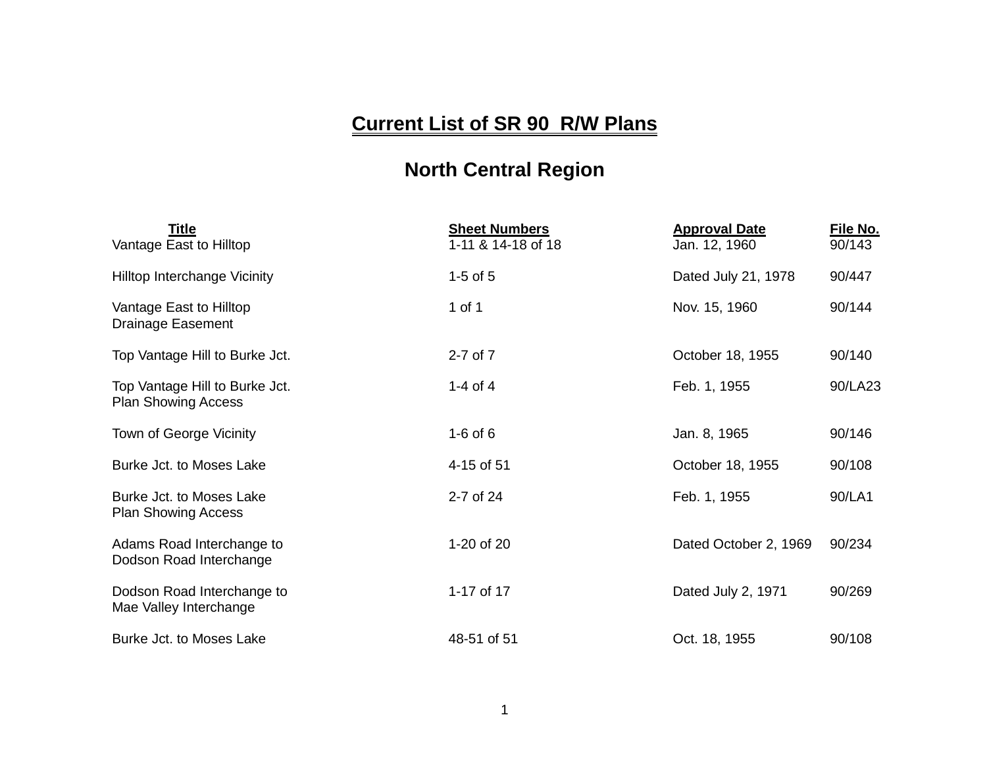## **Current List of SR 90 R/W Plans**

## **North Central Region**

| Title<br>Vantage East to Hilltop                             | <b>Sheet Numbers</b><br>1-11 & 14-18 of 18 | <b>Approval Date</b><br>Jan. 12, 1960 | File No.<br>90/143 |
|--------------------------------------------------------------|--------------------------------------------|---------------------------------------|--------------------|
| Hilltop Interchange Vicinity                                 | 1-5 of $5$                                 | Dated July 21, 1978                   | 90/447             |
| Vantage East to Hilltop<br><b>Drainage Easement</b>          | 1 of 1                                     | Nov. 15, 1960                         | 90/144             |
| Top Vantage Hill to Burke Jct.                               | $2 - 7$ of $7$                             | October 18, 1955                      | 90/140             |
| Top Vantage Hill to Burke Jct.<br><b>Plan Showing Access</b> | 1-4 of 4                                   | Feb. 1, 1955                          | 90/LA23            |
| Town of George Vicinity                                      | $1-6$ of $6$                               | Jan. 8, 1965                          | 90/146             |
| Burke Jct. to Moses Lake                                     | 4-15 of 51                                 | October 18, 1955                      | 90/108             |
| Burke Jct. to Moses Lake<br><b>Plan Showing Access</b>       | 2-7 of 24                                  | Feb. 1, 1955                          | 90/LA1             |
| Adams Road Interchange to<br>Dodson Road Interchange         | 1-20 of 20                                 | Dated October 2, 1969                 | 90/234             |
| Dodson Road Interchange to<br>Mae Valley Interchange         | 1-17 of 17                                 | Dated July 2, 1971                    | 90/269             |
| Burke Jct. to Moses Lake                                     | 48-51 of 51                                | Oct. 18, 1955                         | 90/108             |